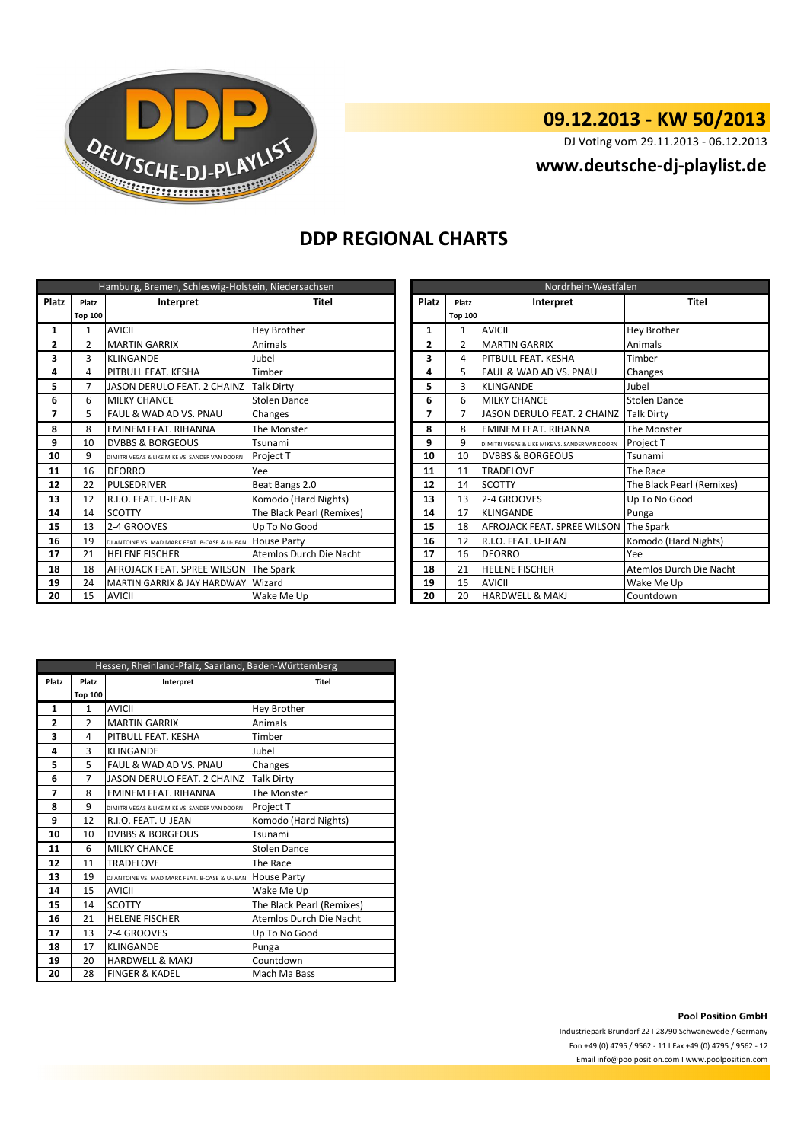

# **09.12.2013 - KW 50/2013**

DJ Voting vom 29.11.2013 - 06.12.2013

### **www.deutsche-dj-playlist.de**

## **DDP REGIONAL CHARTS**

| Hamburg, Bremen, Schleswig-Holstein, Niedersachsen |         |                                                |                           |              | Nordrhein-Westfalen |                                                |                           |  |
|----------------------------------------------------|---------|------------------------------------------------|---------------------------|--------------|---------------------|------------------------------------------------|---------------------------|--|
| <b>Platz</b>                                       | Platz   | Interpret                                      | <b>Titel</b>              | <b>Platz</b> | Platz               | Interpret                                      | <b>Titel</b>              |  |
|                                                    | Top 100 |                                                |                           |              | <b>Top 100</b>      |                                                |                           |  |
| 1                                                  | 1       | <b>AVICII</b>                                  | Hey Brother               | 1            | $\mathbf{1}$        | <b>AVICII</b>                                  | <b>Hey Brother</b>        |  |
| 2                                                  | 2       | <b>MARTIN GARRIX</b>                           | Animals                   | 2            | $\overline{2}$      | <b>MARTIN GARRIX</b>                           | Animals                   |  |
| 3                                                  | 3       | <b>KLINGANDE</b>                               | Jubel                     | 3            | 4                   | PITBULL FEAT. KESHA                            | Timber                    |  |
| 4                                                  | 4       | <b>PITBULL FEAT. KESHA</b>                     | Timber                    | 4            | 5                   | FAUL & WAD AD VS. PNAU                         | Changes                   |  |
| 5                                                  | 7       | JASON DERULO FEAT. 2 CHAINZ                    | <b>Talk Dirty</b>         | 5            | 3                   | <b>KLINGANDE</b>                               | Jubel                     |  |
| 6                                                  | 6       | <b>MILKY CHANCE</b>                            | Stolen Dance              | 6<br>6       |                     | <b>MILKY CHANCE</b>                            | <b>Stolen Dance</b>       |  |
| 7                                                  | 5       | FAUL & WAD AD VS. PNAU                         | Changes                   | 7            | 7                   | JASON DERULO FEAT. 2 CHAINZ                    | Talk Dirty                |  |
| 8                                                  | 8       | <b>EMINEM FEAT, RIHANNA</b>                    | The Monster               | 8            | 8                   | <b>EMINEM FEAT, RIHANNA</b>                    | The Monster               |  |
| 9                                                  | 10      | <b>DVBBS &amp; BORGEOUS</b>                    | Tsunami                   | 9            | 9                   | DIMITRI VEGAS & LIKE MIKE VS. SANDER VAN DOORN | Project T                 |  |
| 10                                                 | 9       | DIMITRI VEGAS & LIKE MIKE VS. SANDER VAN DOORN | Project T                 | 10           | 10                  | <b>DVBBS &amp; BORGEOUS</b>                    | Tsunami                   |  |
| 11                                                 | 16      | <b>DEORRO</b>                                  | Yee                       | 11           | 11                  | <b>TRADELOVE</b>                               | The Race                  |  |
| 12                                                 | 22      | PULSEDRIVER                                    | Beat Bangs 2.0            | 12           | 14                  | <b>SCOTTY</b>                                  | The Black Pearl (Remixes) |  |
| 13                                                 | 12      | R.I.O. FEAT. U-JEAN                            | Komodo (Hard Nights)      | 13           | 13                  | 2-4 GROOVES                                    | Up To No Good             |  |
| 14                                                 | 14      | <b>SCOTTY</b>                                  | The Black Pearl (Remixes) | 14           | 17                  | <b>KLINGANDE</b>                               | Punga                     |  |
| 15                                                 | 13      | 2-4 GROOVES                                    | Up To No Good             | 15           | 18                  | AFROJACK FEAT. SPREE WILSON The Spark          |                           |  |
| 16                                                 | 19      | DJ ANTOINE VS. MAD MARK FEAT. B-CASE & U-JEAN  | <b>House Party</b>        | 16           | 12                  | R.I.O. FEAT. U-JEAN                            | Komodo (Hard Nights)      |  |
| 17                                                 | 21      | <b>HELENE FISCHER</b>                          | Atemlos Durch Die Nacht   | 17           | 16                  | <b>DEORRO</b>                                  | Yee                       |  |
| 18                                                 | 18      | AFROJACK FEAT. SPREE WILSON                    | The Spark                 | 18           | 21                  | <b>HELENE FISCHER</b>                          | Atemlos Durch Die Nacht   |  |
| 19                                                 | 24      | <b>MARTIN GARRIX &amp; JAY HARDWAY</b>         | Wizard                    | 19           | 15                  | <b>AVICII</b>                                  | Wake Me Up                |  |
| 20                                                 | 15      | <b>AVICII</b>                                  | Wake Me Up                | 20           | 20                  | <b>HARDWELL &amp; MAKJ</b>                     | Countdown                 |  |

| Nordrhein-Westfalen |                |                                                |                           |  |  |
|---------------------|----------------|------------------------------------------------|---------------------------|--|--|
| Platz               | Platz          | Interpret                                      | Titel                     |  |  |
|                     | <b>Top 100</b> |                                                |                           |  |  |
| $\mathbf{1}$        | 1              | <b>AVICII</b>                                  | Hey Brother               |  |  |
| $\overline{2}$      | $\mathfrak{p}$ | <b>MARTIN GARRIX</b>                           | Animals                   |  |  |
| 3                   | 4              | PITBULL FEAT. KESHA                            | Timber                    |  |  |
| 4                   | 5              | FAUL & WAD AD VS. PNAU                         | Changes                   |  |  |
| 5                   | 3              | <b>KLINGANDE</b>                               | Jubel                     |  |  |
| 6                   | 6              | <b>MILKY CHANCE</b>                            | <b>Stolen Dance</b>       |  |  |
| 7                   | 7              | JASON DERULO FEAT. 2 CHAINZ                    | <b>Talk Dirty</b>         |  |  |
| 8                   | 8              | <b>EMINEM FEAT, RIHANNA</b>                    | The Monster               |  |  |
| 9                   | 9              | DIMITRI VEGAS & LIKE MIKE VS. SANDER VAN DOORN | Project T                 |  |  |
| 10                  | 10             | <b>DVBBS &amp; BORGEOUS</b>                    | Tsunami                   |  |  |
| 11                  | 11             | <b>TRADELOVE</b>                               | The Race                  |  |  |
| 12                  | 14             | <b>SCOTTY</b>                                  | The Black Pearl (Remixes) |  |  |
| 13                  | 13             | 2-4 GROOVES                                    | Up To No Good             |  |  |
| 14                  | 17             | KLINGANDE                                      | Punga                     |  |  |
| 15                  | 18             | AFROJACK FEAT. SPREE WILSON                    | The Spark                 |  |  |
| 16                  | 12             | R.I.O. FEAT. U-JEAN                            | Komodo (Hard Nights)      |  |  |
| 17                  | 16             | <b>DEORRO</b>                                  | Yee                       |  |  |
| 18                  | 21             | <b>HELENE FISCHER</b>                          | Atemlos Durch Die Nacht   |  |  |
| 19                  | 15             | <b>AVICII</b>                                  | Wake Me Up                |  |  |
| 20                  | 20             | <b>HARDWELL &amp; MAKJ</b>                     | Countdown                 |  |  |

| Hessen, Rheinland-Pfalz, Saarland, Baden-Württemberg |                |                                                |                           |  |  |
|------------------------------------------------------|----------------|------------------------------------------------|---------------------------|--|--|
| Platz                                                | Platz          | Interpret                                      | <b>Titel</b>              |  |  |
|                                                      | <b>Top 100</b> |                                                |                           |  |  |
| 1                                                    | 1              | <b>AVICII</b>                                  | Hey Brother               |  |  |
| 2                                                    | $\mathfrak{p}$ | <b>MARTIN GARRIX</b>                           | Animals                   |  |  |
| 3                                                    | 4              | PITBULL FEAT. KESHA                            | Timber                    |  |  |
| 4                                                    | 3              | <b>KLINGANDE</b>                               | Jubel                     |  |  |
| 5                                                    | 5              | <b>FAUL &amp; WAD AD VS. PNAU</b>              | Changes                   |  |  |
| 6                                                    | $\overline{7}$ | <b>JASON DERULO FEAT. 2 CHAINZ</b>             | <b>Talk Dirty</b>         |  |  |
| 7                                                    | 8              | <b>EMINEM FEAT, RIHANNA</b>                    | The Monster               |  |  |
| 8                                                    | 9              | DIMITRI VEGAS & LIKE MIKE VS. SANDER VAN DOORN | Project T                 |  |  |
| 9                                                    | 12             | R.I.O. FEAT. U-JEAN                            | Komodo (Hard Nights)      |  |  |
| 10                                                   | 10             | <b>DVBBS &amp; BORGEOUS</b>                    | Tsunami                   |  |  |
| 11                                                   | 6              | <b>MILKY CHANCE</b>                            | <b>Stolen Dance</b>       |  |  |
| 12                                                   | 11             | <b>TRADELOVE</b>                               | The Race                  |  |  |
| 13                                                   | 19             | DJ ANTOINE VS. MAD MARK FEAT. B-CASE & U-JEAN  | <b>House Party</b>        |  |  |
| 14                                                   | 15             | <b>AVICII</b>                                  | Wake Me Up                |  |  |
| 15                                                   | 14             | <b>SCOTTY</b>                                  | The Black Pearl (Remixes) |  |  |
| 16                                                   | 21             | <b>HELENE FISCHER</b>                          | Atemlos Durch Die Nacht   |  |  |
| 17                                                   | 13             | 2-4 GROOVES                                    | Up To No Good             |  |  |
| 18                                                   | 17             | <b>KLINGANDE</b>                               | Punga                     |  |  |
| 19                                                   | 20             | <b>HARDWELL &amp; MAKJ</b>                     | Countdown                 |  |  |
| 20                                                   | 28             | <b>FINGER &amp; KADEL</b>                      | Mach Ma Bass              |  |  |

#### **Pool Position GmbH**

Industriepark Brundorf 22 I 28790 Schwanewede / Germany Fon +49 (0) 4795 / 9562 - 11 I Fax +49 (0) 4795 / 9562 - 12 Email info@poolposition.com I www.poolposition.com